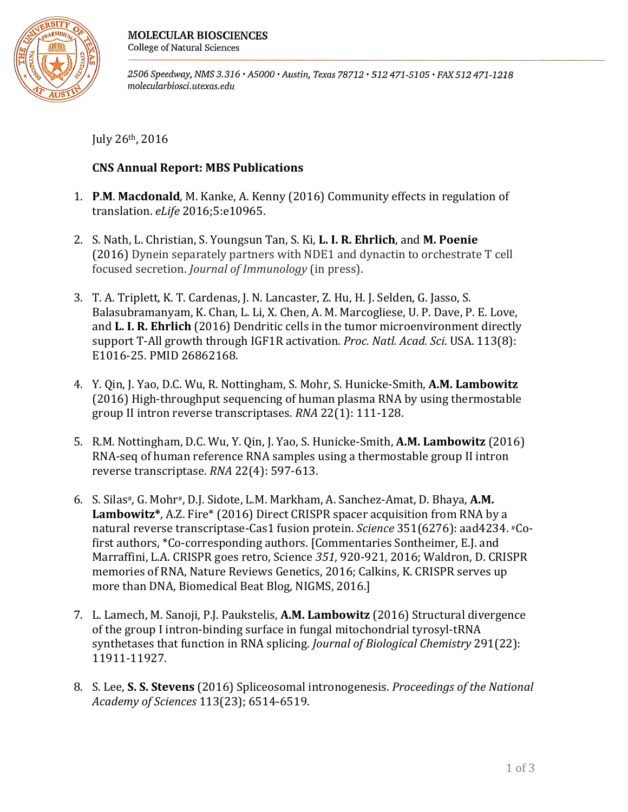

2506 Speedway, NMS 3.316 · A5000 · Austin, Texas 78712 · 512 471-5105 · FAX 512 471-1218 molecularbiosci.utexas.edu

July  $26<sup>th</sup>$ ,  $2016$ 

## **CNS Annual Report: MBS Publications**

- 1. **P.M. Macdonald**, M. Kanke, A. Kenny (2016) Community effects in regulation of translation. *eLife* 2016;5:e10965.
- 2. S. Nath, L. Christian, S. Youngsun Tan, S. Ki, **L. I. R. Ehrlich**, and M. Poenie (2016) Dynein separately partners with NDE1 and dynactin to orchestrate T cell focused secretion. *Journal of Immunology* (in press).
- 3. T. A. Triplett, K. T. Cardenas, J. N. Lancaster, Z. Hu, H. J. Selden, G. Jasso, S. Balasubramanyam, K. Chan, L. Li, X. Chen, A. M. Marcogliese, U. P. Dave, P. E. Love, and **L. I. R. Ehrlich** (2016) Dendritic cells in the tumor microenvironment directly support T-All growth through IGF1R activation. *Proc. Natl. Acad. Sci*. USA. 113(8): E1016-25. PMID 26862168.
- 4. Y. Qin, J. Yao, D.C. Wu, R. Nottingham, S. Mohr, S. Hunicke-Smith, A.M. Lambowitz (2016) High-throughput sequencing of human plasma RNA by using thermostable group II intron reverse transcriptases. *RNA* 22(1): 111-128.
- 5. R.M. Nottingham, D.C. Wu, Y. Qin, J. Yao, S. Hunicke-Smith, **A.M. Lambowitz** (2016) RNA-seq of human reference RNA samples using a thermostable group II intron reverse transcriptase. *RNA* 22(4): 597-613.
- 6. S. Silas<sup>#</sup>, G. Mohr<sup>#</sup>, D.J. Sidote, L.M. Markham, A. Sanchez-Amat, D. Bhaya, A.M. **Lambowitz\***, A.Z. Fire\* (2016) Direct CRISPR spacer acquisition from RNA by a natural reverse transcriptase-Cas1 fusion protein. *Science* 351(6276): aad4234. *\**Cofirst authors, \*Co-corresponding authors. [Commentaries Sontheimer, E.J. and Marraffini, L.A. CRISPR goes retro, Science 351, 920-921, 2016; Waldron, D. CRISPR memories of RNA, Nature Reviews Genetics, 2016; Calkins, K. CRISPR serves up more than DNA, Biomedical Beat Blog, NIGMS, 2016.]
- 7. L. Lamech, M. Sanoji, P.J. Paukstelis, A.M. Lambowitz (2016) Structural divergence of the group I intron-binding surface in fungal mitochondrial tyrosyl-tRNA synthetases that function in RNA splicing. *Journal of Biological Chemistry* 291(22): 11911-11927.
- 8. S. Lee, S. S. Stevens (2016) Spliceosomal intronogenesis. *Proceedings of the National Academy of Sciences* 113(23); 6514-6519.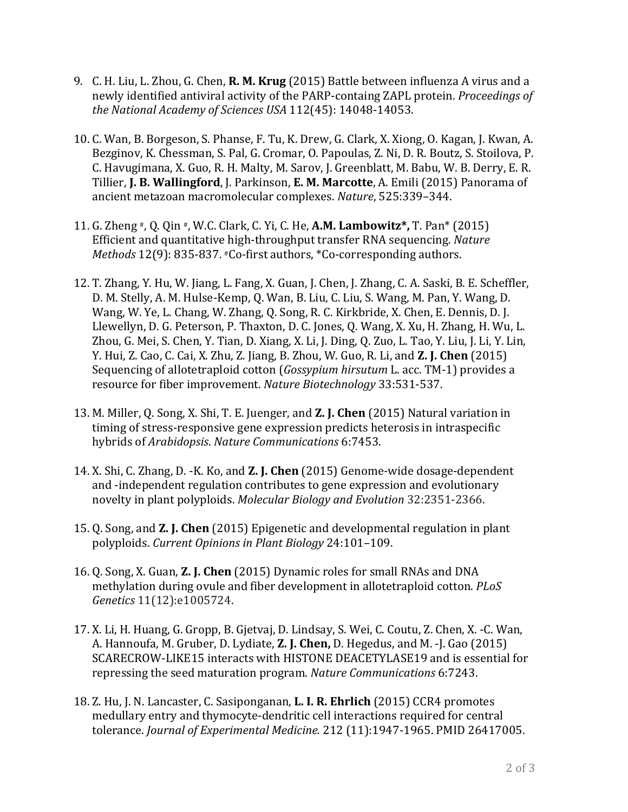- 9. C. H. Liu, L. Zhou, G. Chen, **R. M. Krug** (2015) Battle between influenza A virus and a newly identified antiviral activity of the PARP-containg ZAPL protein. *Proceedings of* the National Academy of Sciences USA 112(45): 14048-14053.
- 10. C. Wan, B. Borgeson, S. Phanse, F. Tu, K. Drew, G. Clark, X. Xiong, O. Kagan, J. Kwan, A. Bezginov, K. Chessman, S. Pal, G. Cromar, O. Papoulas, Z. Ni, D. R. Boutz, S. Stoilova, P. C. Havugimana, X. Guo, R. H. Malty, M. Sarov, J. Greenblatt, M. Babu, W. B. Derry, E. R. Tillier, **J. B. Wallingford**, J. Parkinson, **E. M. Marcotte**, A. Emili (2015) Panorama of ancient metazoan macromolecular complexes. *Nature*, 525:339-344.
- 11. G. Zheng #, Q. Qin #, W.C. Clark, C. Yi, C. He, **A.M. Lambowitz\***, T. Pan\* (2015) Efficient and quantitative high-throughput transfer RNA sequencing. *Nature Methods* 12(9): 835-837.  $*Co$ -first authors,  $*Co$ -corresponding authors.
- 12. T. Zhang, Y. Hu, W. Jiang, L. Fang, X. Guan, J. Chen, J. Zhang, C. A. Saski, B. E. Scheffler, D. M. Stelly, A. M. Hulse-Kemp, Q. Wan, B. Liu, C. Liu, S. Wang, M. Pan, Y. Wang, D. Wang, W. Ye, L. Chang, W. Zhang, Q. Song, R. C. Kirkbride, X. Chen, E. Dennis, D. J. Llewellyn, D. G. Peterson, P. Thaxton, D. C. Jones, Q. Wang, X. Xu, H. Zhang, H. Wu, L. Zhou, G. Mei, S. Chen, Y. Tian, D. Xiang, X. Li, J. Ding, Q. Zuo, L. Tao, Y. Liu, J. Li, Y. Lin, Y. Hui, Z. Cao, C. Cai, X. Zhu, Z. Jiang, B. Zhou, W. Guo, R. Li, and **Z. J. Chen** (2015) Sequencing of allotetraploid cotton (*Gossypium hirsutum* L. acc. TM-1) provides a resource for fiber improvement. *Nature Biotechnology* 33:531-537.
- 13. M. Miller, O. Song, X. Shi, T. E. Juenger, and **Z. J. Chen** (2015) Natural variation in timing of stress-responsive gene expression predicts heterosis in intraspecific hybrids of *Arabidopsis*. *Nature Communications* 6:7453.
- 14. X. Shi, C. Zhang, D. -K. Ko, and **Z. J. Chen** (2015) Genome-wide dosage-dependent and -independent regulation contributes to gene expression and evolutionary novelty in plant polyploids. *Molecular Biology and Evolution* 32:2351-2366.
- 15. Q. Song, and **Z. J. Chen** (2015) Epigenetic and developmental regulation in plant polyploids. *Current Opinions in Plant Biology* 24:101–109.
- 16. Q. Song, X. Guan, **Z. J. Chen** (2015) Dynamic roles for small RNAs and DNA methylation during ovule and fiber development in allotetraploid cotton. *PLoS Genetics* 11(12):e1005724.
- 17. X. Li, H. Huang, G. Gropp, B. Gjetvaj, D. Lindsay, S. Wei, C. Coutu, Z. Chen, X. -C. Wan, A. Hannoufa, M. Gruber, D. Lydiate, **Z. J. Chen,** D. Hegedus, and M. -J. Gao (2015) SCARECROW-LIKE15 interacts with HISTONE DEACETYLASE19 and is essential for repressing the seed maturation program. *Nature Communications* 6:7243.
- 18. Z. Hu, J. N. Lancaster, C. Sasiponganan, **L. I. R. Ehrlich** (2015) CCR4 promotes medullary entry and thymocyte-dendritic cell interactions required for central tolerance. *Journal of Experimental Medicine.* 212 (11):1947-1965. PMID 26417005.